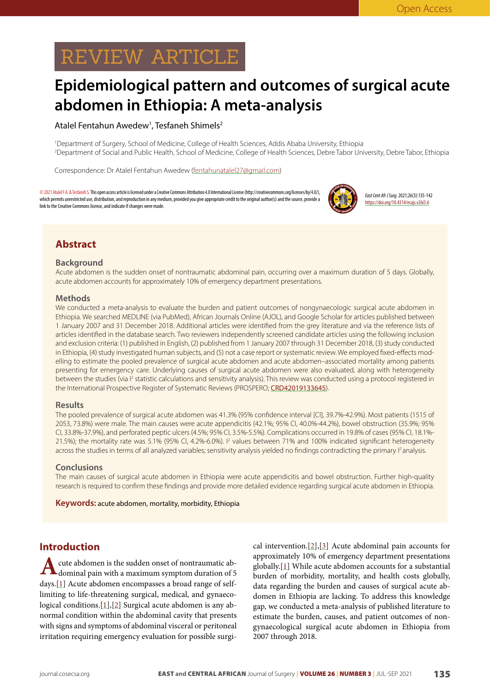# REVIEW ARTICLE

## **Epidemiological pattern and outcomes of surgical acute abdomen in Ethiopia: A meta-analysis**

#### Atalel Fentahun Awedew<sup>1</sup>, Tesfaneh Shimels<sup>2</sup>

1 Department of Surgery, School of Medicine, College of Health Sciences, Addis Ababa University, Ethiopia 2 Department of Social and Public Health, School of Medicine, College of Health Sciences, Debre Tabor University, Debre Tabor, Ethiopia

Correspondence: Dr Atalel Fentahun Awedew (fentahunatalel27@gmail.com)

© 2021 Atalel F.A. & Tesfaneh S. This open access article is licensed under a Creative Commons Attribution 4.0 International License (http://creativecommons.org/licenses/by/4.0/), which permits unrestricted use, distribution, and reproduction in any medium, provided you give appropriate credit to the original author(s) and the source, provide a link to the Creative Commons license, and indicate if changes were made.



*East Cent Afr J Surg*. 2021;26(3):135-142 https://doi.org/10.4314/ecajs.v26i3.6

## **Abstract**

#### **Background**

Acute abdomen is the sudden onset of nontraumatic abdominal pain, occurring over a maximum duration of 5 days. Globally, acute abdomen accounts for approximately 10% of emergency department presentations.

#### **Methods**

We conducted a meta-analysis to evaluate the burden and patient outcomes of nongynaecologic surgical acute abdomen in Ethiopia. We searched MEDLINE (via PubMed), African Journals Online (AJOL), and Google Scholar for articles published between 1 January 2007 and 31 December 2018. Additional articles were identified from the grey literature and via the reference lists of articles identified in the database search. Two reviewers independently screened candidate articles using the following inclusion and exclusion criteria: (1) published in English, (2) published from 1 January 2007 through 31 December 2018, (3) study conducted in Ethiopia, (4) study investigated human subjects, and (5) not a case report or systematic review. We employed fixed-effects modelling to estimate the pooled prevalence of surgical acute abdomen and acute abdomen–associated mortality among patients presenting for emergency care. Underlying causes of surgical acute abdomen were also evaluated, along with heterogeneity between the studies (via <sup>p</sup> statistic calculations and sensitivity analysis). This review was conducted using a protocol registered in the International Prospective Register of Systematic Reviews (PROSPERO; [CRD42019133645](https://www.crd.york.ac.uk/prospero/display_record.php?ID=CRD42019133645)).

#### **Results**

The pooled prevalence of surgical acute abdomen was 41.3% (95% confidence interval [CI], 39.7%-42.9%). Most patients (1515 of 2053, 73.8%) were male. The main causes were acute appendicitis (42.1%; 95% CI, 40.0%-44.2%), bowel obstruction (35.9%; 95% CI, 33.8%-37.9%), and perforated peptic ulcers (4.5%; 95% CI, 3.5%-5.5%). Complications occurred in 19.8% of cases (95% CI, 18.1%- 21.5%); the mortality rate was 5.1% (95% CI, 4.2%-6.0%). I<sup>2</sup> values between 71% and 100% indicated significant heterogeneity across the studies in terms of all analyzed variables; sensitivity analysis yielded no findings contradicting the primary l<sup>2</sup> analysis.

#### **Conclusions**

The main causes of surgical acute abdomen in Ethiopia were acute appendicitis and bowel obstruction. Further high-quality research is required to confirm these findings and provide more detailed evidence regarding surgical acute abdomen in Ethiopia.

**Keywords:** acute abdomen, mortality, morbidity, Ethiopia

### **Introduction**

A cute abdomen is the sudden onset of nontraumatic abdominal pain with a maximum symptom duration of 5 days.[[1](#page-6-0)] Acute abdomen encompasses a broad range of selflimiting to life-threatening surgical, medical, and gynaeco-logical conditions.[\[1\]](#page-6-0),[\[2\]](#page-6-1) Surgical acute abdomen is any abnormal condition within the abdominal cavity that presents with signs and symptoms of abdominal visceral or peritoneal irritation requiring emergency evaluation for possible surgical intervention. $[2]$  $[2]$ , $[3]$  $[3]$  Acute abdominal pain accounts for approximately 10% of emergency department presentations globally.[\[1\]](#page-6-0) While acute abdomen accounts for a substantial burden of morbidity, mortality, and health costs globally, data regarding the burden and causes of surgical acute abdomen in Ethiopia are lacking. To address this knowledge gap, we conducted a meta-analysis of published literature to estimate the burden, causes, and patient outcomes of nongynaecological surgical acute abdomen in Ethiopia from 2007 through 2018.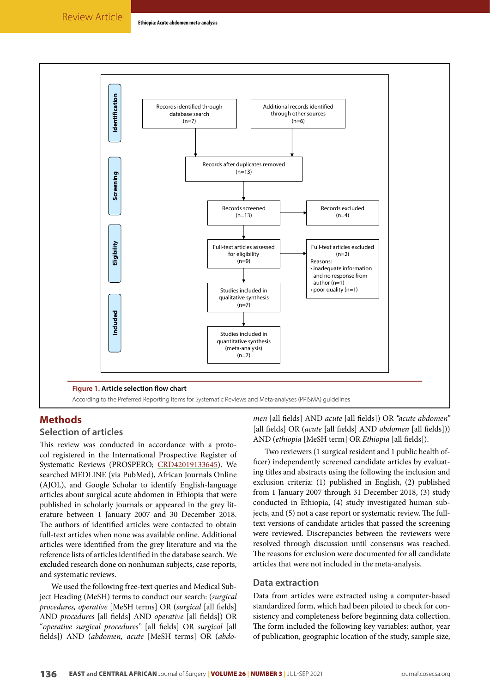<span id="page-1-0"></span>

#### **Methods**

#### **Selection of articles**

This review was conducted in accordance with a protocol registered in the International Prospective Register of Systematic Reviews (PROSPERO; [CRD42019133645](https://www.crd.york.ac.uk/prospero/display_record.php?ID=CRD42019133645)). We searched MEDLINE (via PubMed), African Journals Online (AJOL), and Google Scholar to identify English-language articles about surgical acute abdomen in Ethiopia that were published in scholarly journals or appeared in the grey literature between 1 January 2007 and 30 December 2018. The authors of identified articles were contacted to obtain full-text articles when none was available online. Additional articles were identified from the grey literature and via the reference lists of articles identified in the database search. We excluded research done on nonhuman subjects, case reports, and systematic reviews.

We used the following free-text queries and Medical Subject Heading (MeSH) terms to conduct our search: (*surgical procedures, operative* [MeSH terms] OR (*surgical* [all fields] AND *procedures* [all fields] AND *operative* [all fields]) OR "*operative surgical procedures"* [all fields] OR *surgical* [all fields]) AND (*abdomen, acute* [MeSH terms] OR (*abdo-* *men* [all fields] AND *acute* [all fields]) OR *"acute abdomen"*  [all fields] OR (*acute* [all fields] AND *abdomen* [all fields])) AND (*ethiopia* [MeSH term] OR *Ethiopia* [all fields]).

Two reviewers (1 surgical resident and 1 public health officer) independently screened candidate articles by evaluating titles and abstracts using the following the inclusion and exclusion criteria: (1) published in English, (2) published from 1 January 2007 through 31 December 2018, (3) study conducted in Ethiopia, (4) study investigated human subjects, and (5) not a case report or systematic review. The fulltext versions of candidate articles that passed the screening were reviewed. Discrepancies between the reviewers were resolved through discussion until consensus was reached. The reasons for exclusion were documented for all candidate articles that were not included in the meta-analysis.

#### **Data extraction**

Data from articles were extracted using a computer-based standardized form, which had been piloted to check for consistency and completeness before beginning data collection. The form included the following key variables: author, year of publication, geographic location of the study, sample size,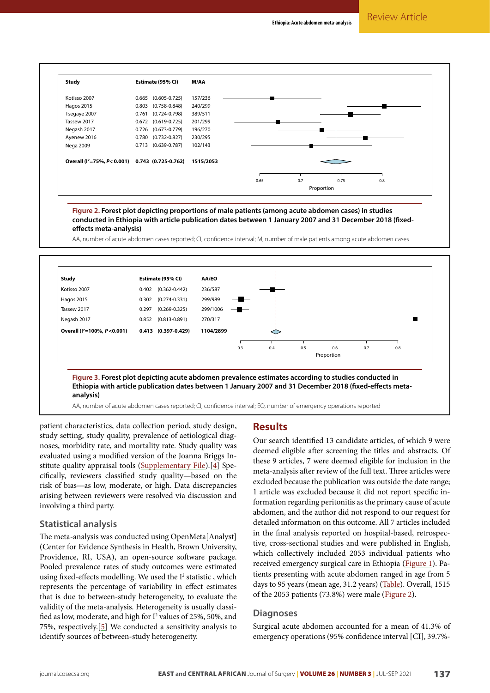<span id="page-2-0"></span>

**Figure 2. Forest plot depicting proportions of male patients (among acute abdomen cases) in studies conducted in Ethiopia with article publication dates between 1 January 2007 and 31 December 2018 (fixedeffects meta-analysis)**

AA, number of acute abdomen cases reported; CI, confidence interval; M, number of male patients among acute abdomen cases

<span id="page-2-1"></span>

AA, number of acute abdomen cases reported; CI, confidence interval; EO, number of emergency operations reported

patient characteristics, data collection period, study design, study setting, study quality, prevalence of aetiological diagnoses, morbidity rate, and mortality rate. Study quality was evaluated using a modified version of the Joanna Briggs Institute quality appraisal tools [\(Supplementary File\)](http://journal.cosecsa.org/public/supplementary/20200021/20200021-supplementary-file-6323-1-2-20200506.pdf).[[4\]](#page-6-3) Specifically, reviewers classified study quality—based on the risk of bias—as low, moderate, or high. Data discrepancies arising between reviewers were resolved via discussion and involving a third party.

#### **Statistical analysis**

The meta-analysis was conducted using OpenMeta[Analyst] (Center for Evidence Synthesis in Health, Brown University, Providence, RI, USA), an open-source software package. Pooled prevalence rates of study outcomes were estimated using fixed-effects modelling. We used the I<sup>2</sup> statistic, which represents the percentage of variability in effect estimates that is due to between-study heterogeneity, to evaluate the validity of the meta-analysis. Heterogeneity is usually classified as low, moderate, and high for  $I^2$  values of 25%, 50%, and 75%, respectively.[[5](#page-6-4)] We conducted a sensitivity analysis to identify sources of between-study heterogeneity.

#### **Results**

Our search identified 13 candidate articles, of which 9 were deemed eligible after screening the titles and abstracts. Of these 9 articles, 7 were deemed eligible for inclusion in the meta-analysis after review of the full text. Three articles were excluded because the publication was outside the date range; 1 article was excluded because it did not report specific information regarding peritonitis as the primary cause of acute abdomen, and the author did not respond to our request for detailed information on this outcome. All 7 articles included in the final analysis reported on hospital-based, retrospective, cross-sectional studies and were published in English, which collectively included 2053 individual patients who received emergency surgical care in Ethiopia [\(Figure 1](#page-1-0)). Patients presenting with acute abdomen ranged in age from 5 days to 95 years (mean age, 31.2 years) ([Table](#page-3-0)). Overall, 1515 of the 2053 patients (73.8%) were male ([Figure 2](#page-2-0)).

#### **Diagnoses**

Surgical acute abdomen accounted for a mean of 41.3% of emergency operations (95% confidence interval [CI], 39.7%-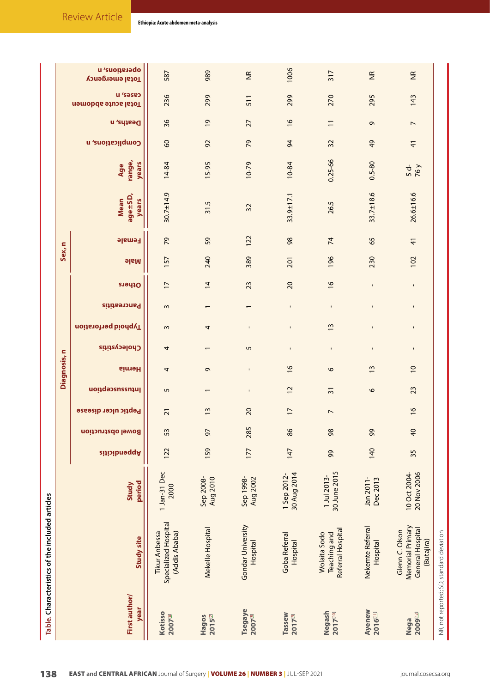<span id="page-3-0"></span>

|                                       | Table. Characteristics of the included articles                      |                              |              |                          |                             |                 |                |                          |                     |                          |                |             |                |                                 |                        |                  |                          |                                |                                  |  |
|---------------------------------------|----------------------------------------------------------------------|------------------------------|--------------|--------------------------|-----------------------------|-----------------|----------------|--------------------------|---------------------|--------------------------|----------------|-------------|----------------|---------------------------------|------------------------|------------------|--------------------------|--------------------------------|----------------------------------|--|
|                                       |                                                                      |                              |              |                          |                             |                 | Diagnosis,     | s                        |                     |                          |                | Sex, n      |                |                                 |                        |                  |                          |                                |                                  |  |
| First author/<br>year                 | Study site                                                           | period<br>Study              | Appendicitis | <b>Bowel obstruction</b> | <b>Peptic ulcer disease</b> | lntussusception | <b>Hernia</b>  | <b>Cholecystitis</b>     | Typhoid perforation | Pancreatitis             | Others         | <b>PlaM</b> | <b>Female</b>  | age±SD,<br><b>Mean</b><br>years | range,<br>years<br>Age | Complications, n | Desths, n                | u 'səse<br>Total acute abdomen | a 'suoitsiaqo<br>Total emergency |  |
| <b>Kotisso</b><br>2007[6]             | Specialized Hospital<br><b>Tikur Anbessa</b><br>(Addis Ababa)        | 1 Jan-31 Dec<br>2000         | 122          | 53                       | $\overline{21}$             | 5               | 4              | 4                        | $\sim$              | 3                        | $\overline{1}$ | 157         | 29             | $30.7 \pm 14.9$                 | 14-84                  | $\infty$         | 36                       | 236                            | 587                              |  |
| $2015$ <sup>[7]</sup><br>Hagos        | Mekelle Hospital                                                     | Aug 2010<br>Sep 2008-        | 159          | 57                       | $\frac{3}{2}$               |                 | G              | $\overline{\phantom{0}}$ | 4                   | $\overline{\phantom{0}}$ | $\overline{4}$ | 240         | 59             | 31.5                            | 15-95                  | 92               | $\overline{6}$           | 299                            | 989                              |  |
| <b>Tsegaye</b><br>2007 <sup>[8]</sup> | Gondar University<br>Hospital                                        | Sep 1998-<br><b>Aug 2002</b> | 177          | 285                      | 20                          | $\mathbf I$     | $\mathbf I$    | 5                        | $\mathbf{I}$        |                          | 23             | 389         | 122            | 32                              | $10 - 79$              | 29               | 27                       | 511                            | $\widetilde{\Xi}$                |  |
| Tassew<br>2017 <sup>[9]</sup>         | Goba Referral<br>Hospital                                            | 30 Aug 2014<br>1 Sep 2012-   | 147          | 86                       | $\overline{1}$              | $\overline{c}$  | $\frac{6}{2}$  | $\mathbf I$              | $\mathbf{I}$        | $\mathbf I$              | $\overline{c}$ | 201         | 98             | 33.9±17.1                       | 10-84                  | $\overline{6}$   | $\frac{9}{2}$            | 299                            | 1006                             |  |
| Negash<br>2017100                     | Referral Hospital<br>Wolaita Sodo<br>Teaching and                    | 30 June 2015<br>1 Jul 2013-  | 99           | 98                       | $\overline{\phantom{a}}$    | $\overline{3}$  | $\circ$        | $\mathbf{I}$             | $\frac{3}{2}$       | $\mathbf{I}$             | $\frac{9}{2}$  | 196         | 74             | 26.5                            | $0.25 - 66$            | 32               | $\overline{1}$           | 270                            | 317                              |  |
| Ayenew<br><b>2016[1]</b>              | Nekemte Referral<br>Hospital                                         | Jan 2011-<br>Dec 2013        | 140          | 99                       |                             | $\circ$         | 13             | $\mathbf I$              | $\mathbf{I}$        | $\mathbf{I}$             | $\mathbf{I}$   | 230         | 65             | $33.7 \pm 18.6$                 | $0.5 - 80$             | 49               | G                        | 295                            | $\widetilde{\Xi}$                |  |
| <b>2009122</b><br>Nega                | Memorial Primary<br>General Hospital<br>Glenn C. Olson<br>(Butajira) | 20 Nov 2006<br>10 Oct 2004-  | 35           | $\overline{a}$           | $\frac{6}{2}$               | 23              | $\overline{0}$ | $\mathbf I$              | $\blacksquare$      | $\blacksquare$           | $\mathbf I$    | 102         | $\overline{4}$ | $26.6 \pm 16.6$                 | $\frac{5d}{76y}$       | $\overline{4}$   | $\overline{\phantom{a}}$ | 143                            | $\widetilde{\Xi}$                |  |
|                                       | NR, not reported; SD, standard deviation                             |                              |              |                          |                             |                 |                |                          |                     |                          |                |             |                |                                 |                        |                  |                          |                                |                                  |  |

**Ethiopia: Acute abdomen meta-analysis**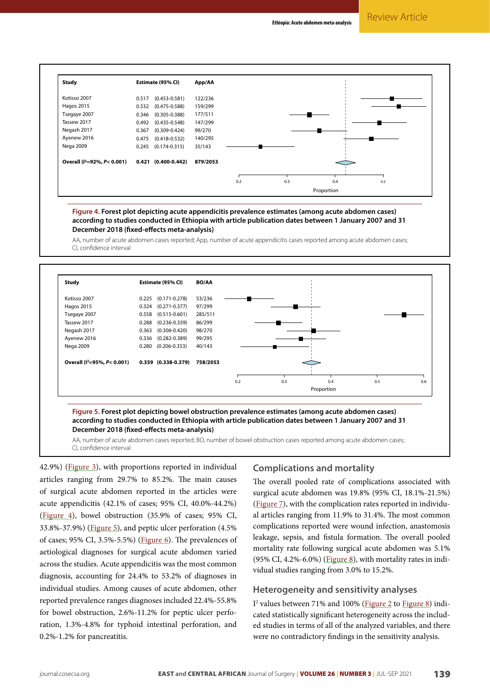<span id="page-4-0"></span>

**Figure 4. Forest plot depicting acute appendicitis prevalence estimates (among acute abdomen cases) according to studies conducted in Ethiopia with article publication dates between 1 January 2007 and 31 December 2018 (fixed-effects meta-analysis)**

AA, number of acute abdomen cases reported; App, number of acute appendicitis cases reported among acute abdomen cases; CI, confidence interval

<span id="page-4-1"></span>

**Figure 5. Forest plot depicting bowel obstruction prevalence estimates (among acute abdomen cases) according to studies conducted in Ethiopia with article publication dates between 1 January 2007 and 31 December 2018 (fixed-effects meta-analysis)**

AA, number of acute abdomen cases reported; BO, number of bowel obstruction cases reported among acute abdomen cases; CI, confidence interval

42.9%) ([Figure 3\)](#page-2-1), with proportions reported in individual articles ranging from 29.7% to 85.2%. The main causes of surgical acute abdomen reported in the articles were acute appendicitis (42.1% of cases; 95% CI, 40.0%-44.2%) ([Figure 4](#page-4-0)), bowel obstruction (35.9% of cases; 95% CI, 33.8%-37.9%) [\(Figure 5](#page-4-1)), and peptic ulcer perforation (4.5% of cases; 95% CI, 3.5%-5.5%) [\(Figure 6](#page-5-0)). The prevalences of aetiological diagnoses for surgical acute abdomen varied across the studies. Acute appendicitis was the most common diagnosis, accounting for 24.4% to 53.2% of diagnoses in individual studies. Among causes of acute abdomen, other reported prevalence ranges diagnoses included 22.4%-55.8% for bowel obstruction, 2.6%-11.2% for peptic ulcer perforation, 1.3%-4.8% for typhoid intestinal perforation, and 0.2%-1.2% for pancreatitis.

#### **Complications and mortality**

The overall pooled rate of complications associated with surgical acute abdomen was 19.8% (95% CI, 18.1%-21.5%) [\(Figure 7\)](#page-5-1), with the complication rates reported in individual articles ranging from 11.9% to 31.4%. The most common complications reported were wound infection, anastomosis leakage, sepsis, and fistula formation. The overall pooled mortality rate following surgical acute abdomen was 5.1%  $(95\% \text{ CI}, 4.2\% - 6.0\%)$  [\(Figure 8\)](#page-6-12), with mortality rates in individual studies ranging from 3.0% to 15.2%.

#### **Heterogeneity and sensitivity analyses**

I<sup>2</sup> values between 71% and 100% (*Figure 2* to *Figure 8*) indicated statistically significant heterogeneity across the included studies in terms of all of the analyzed variables, and there were no contradictory findings in the sensitivity analysis.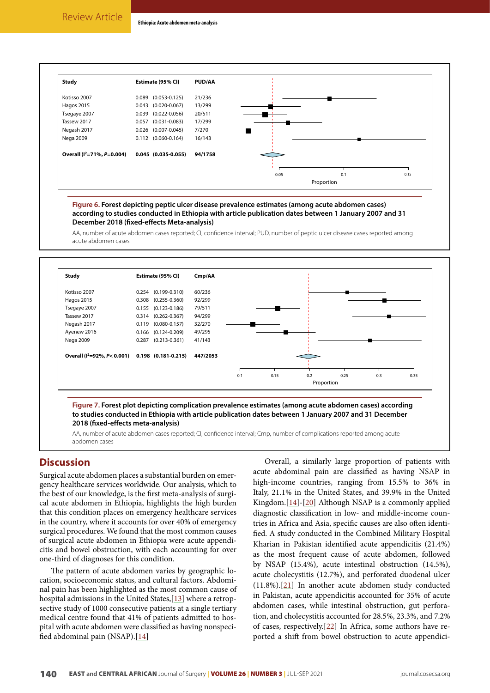<span id="page-5-0"></span>

**Figure 6. Forest depicting peptic ulcer disease prevalence estimates (among acute abdomen cases) according to studies conducted in Ethiopia with article publication dates between 1 January 2007 and 31 December 2018 (fixed-effects Meta-analysis)**

AA, number of acute abdomen cases reported; CI, confidence interval; PUD, number of peptic ulcer disease cases reported among acute abdomen cases

<span id="page-5-1"></span>

**to studies conducted in Ethiopia with article publication dates between 1 January 2007 and 31 December 2018 (fixed-effects meta-analysis)**

AA, number of acute abdomen cases reported; CI, confidence interval; Cmp, number of complications reported among acute abdomen cases

#### **Discussion**

Surgical acute abdomen places a substantial burden on emergency healthcare services worldwide. Our analysis, which to the best of our knowledge, is the first meta-analysis of surgical acute abdomen in Ethiopia, highlights the high burden that this condition places on emergency healthcare services in the country, where it accounts for over 40% of emergency surgical procedures. We found that the most common causes of surgical acute abdomen in Ethiopia were acute appendicitis and bowel obstruction, with each accounting for over one-third of diagnoses for this condition.

The pattern of acute abdomen varies by geographic location, socioeconomic status, and cultural factors. Abdominal pain has been highlighted as the most common cause of hospital admissions in the United States, [\[13\]](#page-6-13) where a retropsective study of 1000 consecutive patients at a single tertiary medical centre found that 41% of patients admitted to hospital with acute abdomen were classified as having nonspecified abdominal pain (NSAP).[[14](#page-6-14)]

Overall, a similarly large proportion of patients with acute abdominal pain are classified as having NSAP in high-income countries, ranging from 15.5% to 36% in Italy, 21.1% in the United States, and 39.9% in the United Kingdom.[\[14\]](#page-6-14)-[\[20\]](#page-7-0) Although NSAP is a commonly applied diagnostic classification in low- and middle-income countries in Africa and Asia, specific causes are also often identified. A study conducted in the Combined Military Hospital Kharian in Pakistan identified acute appendicitis (21.4%) as the most frequent cause of acute abdomen, followed by NSAP (15.4%), acute intestinal obstruction (14.5%), acute cholecystitis (12.7%), and perforated duodenal ulcer (11.8%).[\[21](#page-7-1)] In another acute abdomen study conducted in Pakistan, acute appendicitis accounted for 35% of acute abdomen cases, while intestinal obstruction, gut perforation, and cholecystitis accounted for 28.5%, 23.3%, and 7.2% of cases, respectively.[[22](#page-7-2)] In Africa, some authors have reported a shift from bowel obstruction to acute appendici-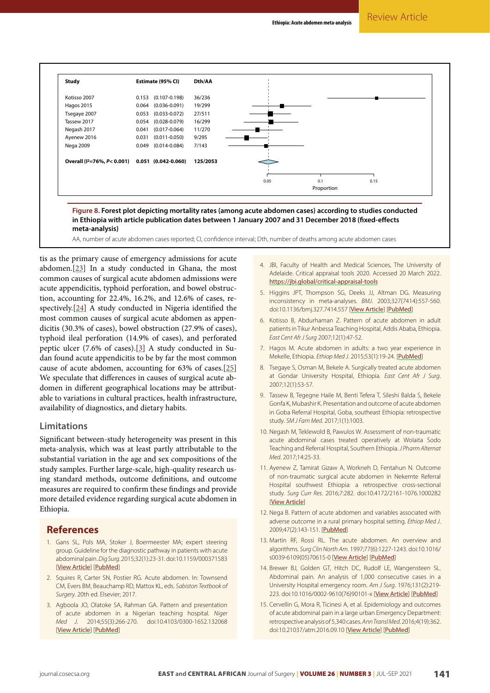<span id="page-6-12"></span>

AA, number of acute abdomen cases reported; CI, confidence interval; Dth, number of deaths among acute abdomen cases

tis as the primary cause of emergency admissions for acute abdomen.[[23](#page-7-3)] In a study conducted in Ghana, the most common causes of surgical acute abdomen admissions were acute appendicitis, typhoid perforation, and bowel obstruction, accounting for 22.4%, 16.2%, and 12.6% of cases, respectively.[\[24\]](#page-7-4) A study conducted in Nigeria identified the most common causes of surgical acute abdomen as appendicitis (30.3% of cases), bowel obstruction (27.9% of cases), typhoid ileal perforation (14.9% of cases), and perforated peptic ulcer (7.6% of cases).[\[3](#page-6-2)] A study conducted in Sudan found acute appendicitis to be by far the most common cause of acute abdomen, accounting for 63% of cases.[[25](#page-7-5)] We speculate that differences in causes of surgical acute abdomen in different geographical locations may be attributable to variations in cultural practices, health infrastructure, availability of diagnostics, and dietary habits.

#### **Limitations**

Significant between-study heterogeneity was present in this meta-analysis, which was at least partly attributable to the substantial variation in the age and sex compositions of the study samples. Further large-scale, high-quality research using standard methods, outcome definitions, and outcome measures are required to confirm these findings and provide more detailed evidence regarding surgical acute abdomen in Ethiopia.

#### **References**

- <span id="page-6-0"></span>1. Gans SL, Pols MA, Stoker J, Boermeester MA; expert steering group. Guideline for the diagnostic pathway in patients with acute abdominal pain. *Dig Surg*. 2015;32(1):23-31. doi:10.1159/000371583 [[View Article](https://doi.org/10.1159/000371583)] [[PubMed](https://pubmed.ncbi.nlm.nih.gov/25659265/)]
- <span id="page-6-1"></span>2. Squires R, Carter SN, Postier RG. Acute abdomen. In: Townsend CM, Evers BM, Beauchamp RD, Mattox KL, eds. *Sabiston Textbook of Surgery*. 20th ed. Elsevier; 2017.
- <span id="page-6-2"></span>3. Agboola JO, Olatoke SA, Rahman GA. Pattern and presentation of acute abdomen in a Nigerian teaching hospital. *Niger Med J*. 2014;55(3):266-270. doi:10.4103/0300-1652.132068 [[View Article](https://doi.org/10.4103/0300-1652.132068)] [[PubMed](https://pubmed.ncbi.nlm.nih.gov/25013262/)]
- <span id="page-6-3"></span>4. JBI, Faculty of Health and Medical Sciences, The University of Adelaide. Critical appraisal tools 2020. Accessed 20 March 2022. <https://jbi.global/critical-appraisal-tools>
- <span id="page-6-4"></span>5. Higgins JPT, Thompson SG, Deeks JJ, Altman DG. Measuring inconsistency in meta-analyses. *BMJ*. 2003;327(7414):557-560. doi:10.1136/bmj.327.7414.557 [[View Article](https://doi.org/10.1136/bmj.327.7414.557)] [[PubMed](https://pubmed.ncbi.nlm.nih.gov/12958120/)]
- <span id="page-6-5"></span>6. Kotisso B, Abdurhaman Z. Pattern of acute abdomen in adult patients in Tikur Anbessa Teaching Hospital, Addis Ababa, Ethiopia. *East Cent Afr J Surg* 2007;12(1):47-52.
- <span id="page-6-6"></span>7. Hagos M. Acute abdomen in adults: a two year experience in Mekelle, Ethiopia. *Ethiop Med J*. 2015;53(1):19-24. [[PubMed](https://pubmed.ncbi.nlm.nih.gov/26591288/)]
- <span id="page-6-7"></span>8. Tsegaye S, Osman M, Bekele A. Surgically treated acute abdomen at Gondar University Hospital, Ethiopia. *East Cent Afr J Surg*. 2007;12(1):53-57.
- <span id="page-6-8"></span>9. Tassew B, Tegegne Haile M, Benti Tefera T, Sileshi Balda S, Bekele Gonfa K, Mubashir K. Presentation and outcome of acute abdomen in Goba Referral Hospital, Goba, southeast Ethiopia: retrospective study. *SM J Fam Med*. 2017;1(1):1003.
- <span id="page-6-9"></span>10. Negash M, Teklewold B, Pawulos W. Assessment of non-traumatic acute abdominal cases treated operatively at Wolaita Sodo Teaching and Referral Hospital, Southern Ethiopia. *J Pharm Alternat Med*. 2017;14:25-33.
- <span id="page-6-10"></span>11. Ayenew Z, Tamirat Gizaw A, Workneh D, Fentahun N. Outcome of non-traumatic surgical acute abdomen in Nekemte Referral Hospital southwest Ethiopia: a retrospective cross-sectional study. *Surg Curr Res*. 2016;7:282. doi:10.4172/2161-1076.1000282 [[View Article](https://doi.org/10.4172/2161-1076.1000282)]
- <span id="page-6-11"></span>12. Nega B. Pattern of acute abdomen and variables associated with adverse outcome in a rural primary hospital setting. *Ethiop Med J*. 2009;47(2):143-151. [[PubMed](https://pubmed.ncbi.nlm.nih.gov/19743794/)]
- <span id="page-6-13"></span>13. Martin RF, Rossi RL. The acute abdomen. An overview and algorithms. *Surg Clin North Am*. 1997;77(6):1227-1243. doi:10.1016/ s0039-6109(05)70615-0 [[View Article](https://doi.org/10.1016/s0039-6109(05)70615-0)] [[PubMed](https://pubmed.ncbi.nlm.nih.gov/9431337/)]
- <span id="page-6-14"></span>14. Brewer BJ, Golden GT, Hitch DC, Rudolf LE, Wangensteen SL. Abdominal pain. An analysis of 1,000 consecutive cases in a University Hospital emergency room. *Am J Surg*. 1976;131(2):219- 223. doi:10.1016/0002-9610(76)90101-x [[View Article](https://doi.org/10.1016/0002-9610(76)90101-x)] [[PubMed](https://pubmed.ncbi.nlm.nih.gov/1251963/)]
- 15. Cervellin G, Mora R, Ticinesi A, et al. Epidemiology and outcomes of acute abdominal pain in a large urban Emergency Department: retrospective analysis of 5,340 cases. *Ann Transl Med*. 2016;4(19):362. doi:10.21037/atm.2016.09.10 [[View Article](https://doi.org/10.21037/atm.2016.09.10)] [[PubMed](https://pubmed.ncbi.nlm.nih.gov/27826565/)]